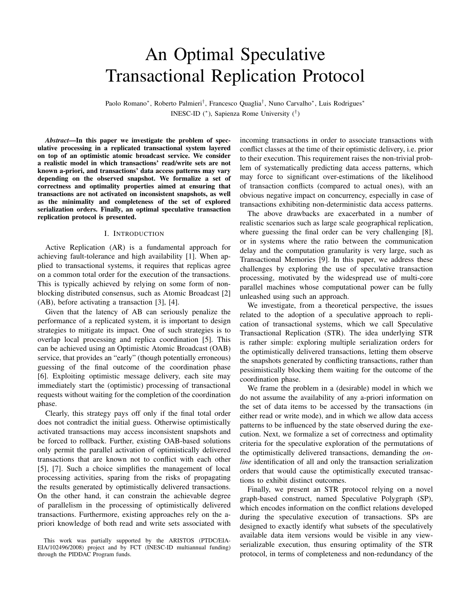# An Optimal Speculative Transactional Replication Protocol

Paolo Romano\*, Roberto Palmieri<sup>†</sup>, Francesco Quaglia<sup>†</sup>, Nuno Carvalho\*, Luis Rodrigues\* INESC-ID (<sup>∗</sup> ), Sapienza Rome University († )

*Abstract*—In this paper we investigate the problem of speculative processing in a replicated transactional system layered on top of an optimistic atomic broadcast service. We consider a realistic model in which transactions' read/write sets are not known a-priori, and transactions' data access patterns may vary depending on the observed snapshot. We formalize a set of correctness and optimality properties aimed at ensuring that transactions are not activated on inconsistent snapshots, as well as the minimality and completeness of the set of explored serialization orders. Finally, an optimal speculative transaction replication protocol is presented.

## I. INTRODUCTION

Active Replication (AR) is a fundamental approach for achieving fault-tolerance and high availability [1]. When applied to transactional systems, it requires that replicas agree on a common total order for the execution of the transactions. This is typically achieved by relying on some form of nonblocking distributed consensus, such as Atomic Broadcast [2] (AB), before activating a transaction [3], [4].

Given that the latency of AB can seriously penalize the performance of a replicated system, it is important to design strategies to mitigate its impact. One of such strategies is to overlap local processing and replica coordination [5]. This can be achieved using an Optimistic Atomic Broadcast (OAB) service, that provides an "early" (though potentially erroneous) guessing of the final outcome of the coordination phase [6]. Exploiting optimistic message delivery, each site may immediately start the (optimistic) processing of transactional requests without waiting for the completion of the coordination phase.

Clearly, this strategy pays off only if the final total order does not contradict the initial guess. Otherwise optimistically activated transactions may access inconsistent snapshots and be forced to rollback. Further, existing OAB-based solutions only permit the parallel activation of optimistically delivered transactions that are known not to conflict with each other [5], [7]. Such a choice simplifies the management of local processing activities, sparing from the risks of propagating the results generated by optimistically delivered transactions. On the other hand, it can constrain the achievable degree of parallelism in the processing of optimistically delivered transactions. Furthermore, existing approaches rely on the apriori knowledge of both read and write sets associated with incoming transactions in order to associate transactions with conflict classes at the time of their optimistic delivery, i.e. prior to their execution. This requirement raises the non-trivial problem of systematically predicting data access patterns, which may force to significant over-estimations of the likelihood of transaction conflicts (compared to actual ones), with an obvious negative impact on concurrency, especially in case of transactions exhibiting non-deterministic data access patterns.

The above drawbacks are exacerbated in a number of realistic scenarios such as large scale geographical replication, where guessing the final order can be very challenging [8], or in systems where the ratio between the communication delay and the computation granularity is very large, such as Transactional Memories [9]. In this paper, we address these challenges by exploring the use of speculative transaction processing, motivated by the widespread use of multi-core parallel machines whose computational power can be fully unleashed using such an approach.

We investigate, from a theoretical perspective, the issues related to the adoption of a speculative approach to replication of transactional systems, which we call Speculative Transactional Replication (STR). The idea underlying STR is rather simple: exploring multiple serialization orders for the optimistically delivered transactions, letting them observe the snapshots generated by conflicting transactions, rather than pessimistically blocking them waiting for the outcome of the coordination phase.

We frame the problem in a (desirable) model in which we do not assume the availability of any a-priori information on the set of data items to be accessed by the transactions (in either read or write mode), and in which we allow data access patterns to be influenced by the state observed during the execution. Next, we formalize a set of correctness and optimality criteria for the speculative exploration of the permutations of the optimistically delivered transactions, demanding the *online* identification of all and only the transaction serialization orders that would cause the optimistically executed transactions to exhibit distinct outcomes.

Finally, we present an STR protocol relying on a novel graph-based construct, named Speculative Polygraph (SP), which encodes information on the conflict relations developed during the speculative execution of transactions. SPs are designed to exactly identify what subsets of the speculatively available data item versions would be visible in any viewserializable execution, thus ensuring optimality of the STR protocol, in terms of completeness and non-redundancy of the

This work was partially supported by the ARISTOS (PTDC/EIA-EIA/102496/2008) project and by FCT (INESC-ID multiannual funding) through the PIDDAC Program funds.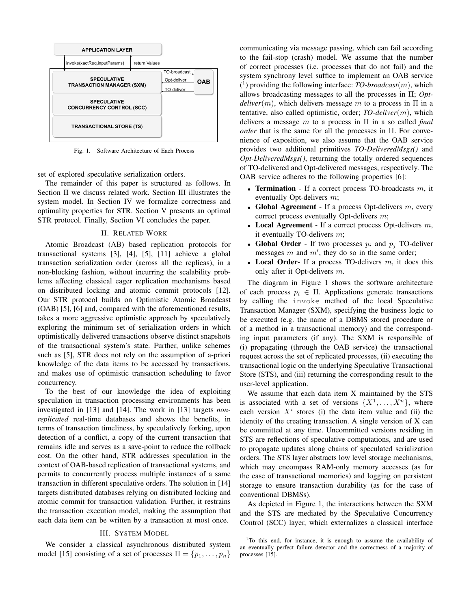

Fig. 1. Software Architecture of Each Process

set of explored speculative serialization orders.

The remainder of this paper is structured as follows. In Section II we discuss related work. Section III illustrates the system model. In Section IV we formalize correctness and optimality properties for STR. Section V presents an optimal STR protocol. Finally, Section VI concludes the paper.

## II. RELATED WORK

Atomic Broadcast (AB) based replication protocols for transactional systems [3], [4], [5], [11] achieve a global transaction serialization order (across all the replicas), in a non-blocking fashion, without incurring the scalability problems affecting classical eager replication mechanisms based on distributed locking and atomic commit protocols [12]. Our STR protocol builds on Optimistic Atomic Broadcast (OAB) [5], [6] and, compared with the aforementioned results, takes a more aggressive optimistic approach by speculatively exploring the minimum set of serialization orders in which optimistically delivered transactions observe distinct snapshots of the transactional system's state. Further, unlike schemes such as [5], STR does not rely on the assumption of a-priori knowledge of the data items to be accessed by transactions, and makes use of optimistic transaction scheduling to favor concurrency.

To the best of our knowledge the idea of exploiting speculation in transaction processing environments has been investigated in [13] and [14]. The work in [13] targets *nonreplicated* real-time databases and shows the benefits, in terms of transaction timeliness, by speculatively forking, upon detection of a conflict, a copy of the current transaction that remains idle and serves as a save-point to reduce the rollback cost. On the other hand, STR addresses speculation in the context of OAB-based replication of transactional systems, and permits to concurrently process multiple instances of a same transaction in different speculative orders. The solution in [14] targets distributed databases relying on distributed locking and atomic commit for transaction validation. Further, it restrains the transaction execution model, making the assumption that each data item can be written by a transaction at most once.

#### III. SYSTEM MODEL

We consider a classical asynchronous distributed system model [15] consisting of a set of processes  $\Pi = \{p_1, \ldots, p_n\}$ 

communicating via message passing, which can fail according to the fail-stop (crash) model. We assume that the number of correct processes (i.e. processes that do not fail) and the system synchrony level suffice to implement an OAB service ( 1 ) providing the following interface: *TO-broadcast*(m), which allows broadcasting messages to all the processes in Π; *Opt* $deliver(m)$ , which delivers message m to a process in  $\Pi$  in a tentative, also called optimistic, order; *TO-deliver*(m), which delivers a message m to a process in Π in a so called *final order* that is the same for all the processes in Π. For convenience of exposition, we also assume that the OAB service provides two additional primitives *TO-DeliveredMsgs()* and *Opt-DeliveredMsgs()*, returning the totally ordered sequences of TO-delivered and Opt-delivered messages, respectively. The OAB service adheres to the following properties [6]:

- **Termination** If a correct process TO-broadcasts  $m$ , it eventually Opt-delivers m;
- **Global Agreement** If a process Opt-delivers  $m$ , every correct process eventually Opt-delivers m;
- Local Agreement If a correct process Opt-delivers  $m$ , it eventually TO-delivers m;
- Global Order If two processes  $p_i$  and  $p_j$  TO-deliver messages  $m$  and  $m'$ , they do so in the same order;
- Local Order- If a process TO-delivers  $m$ , it does this only after it Opt-delivers  $m$ .

The diagram in Figure 1 shows the software architecture of each process  $p_i \in \Pi$ . Applications generate transactions by calling the invoke method of the local Speculative Transaction Manager (SXM), specifying the business logic to be executed (e.g. the name of a DBMS stored procedure or of a method in a transactional memory) and the corresponding input parameters (if any). The SXM is responsible of (i) propagating (through the OAB service) the transactional request across the set of replicated processes, (ii) executing the transactional logic on the underlying Speculative Transactional Store (STS), and (iii) returning the corresponding result to the user-level application.

We assume that each data item X maintained by the STS is associated with a set of versions  $\{X^1, \ldots, X^n\}$ , where each version  $X<sup>i</sup>$  stores (i) the data item value and (ii) the identity of the creating transaction. A single version of X can be committed at any time. Uncommitted versions residing in STS are reflections of speculative computations, and are used to propagate updates along chains of speculated serialization orders. The STS layer abstracts low level storage mechanisms, which may encompass RAM-only memory accesses (as for the case of transactional memories) and logging on persistent storage to ensure transaction durability (as for the case of conventional DBMSs).

As depicted in Figure 1, the interactions between the SXM and the STS are mediated by the Speculative Concurrency Control (SCC) layer, which externalizes a classical interface

<sup>&</sup>lt;sup>1</sup>To this end, for instance, it is enough to assume the availability of an eventually perfect failure detector and the correctness of a majority of processes [15].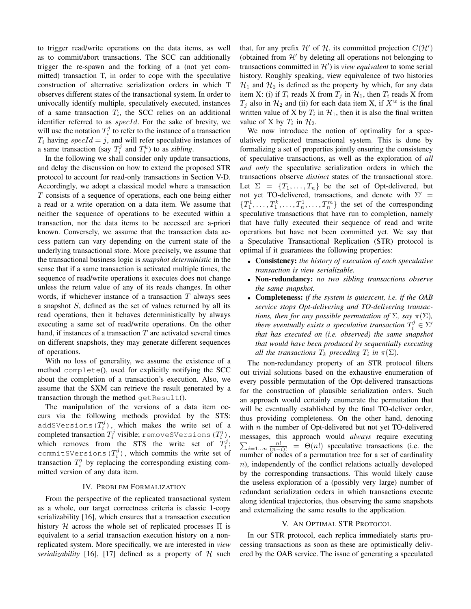to trigger read/write operations on the data items, as well as to commit/abort transactions. The SCC can additionally trigger the re-spawn and the forking of a (not yet committed) transaction T, in order to cope with the speculative construction of alternative serialization orders in which T observes different states of the transactional system. In order to univocally identify multiple, speculatively executed, instances of a same transaction  $T_i$ , the SCC relies on an additional identifier referred to as *specId*. For the sake of brevity, we will use the notation  $T_i^j$  to refer to the instance of a transaction  $T_i$  having specId = j, and will refer speculative instances of a same transaction (say  $T_i^j$  and  $T_i^k$ ) to as *sibling*.

In the following we shall consider only update transactions, and delay the discussion on how to extend the proposed STR protocol to account for read-only transactions in Section V-D. Accordingly, we adopt a classical model where a transaction T consists of a sequence of operations, each one being either a read or a write operation on a data item. We assume that neither the sequence of operations to be executed within a transaction, nor the data items to be accessed are a-priori known. Conversely, we assume that the transaction data access pattern can vary depending on the current state of the underlying transactional store. More precisely, we assume that the transactional business logic is *snapshot deterministic* in the sense that if a same transaction is activated multiple times, the sequence of read/write operations it executes does not change unless the return value of any of its reads changes. In other words, if whichever instance of a transaction  $T$  always sees a snapshot S, defined as the set of values returned by all its read operations, then it behaves deterministically by always executing a same set of read/write operations. On the other hand, if instances of a transaction  $T$  are activated several times on different snapshots, they may generate different sequences of operations.

With no loss of generality, we assume the existence of a method complete(), used for explicitly notifying the SCC about the completion of a transaction's execution. Also, we assume that the SXM can retrieve the result generated by a transaction through the method getResult().

The manipulation of the versions of a data item occurs via the following methods provided by the STS: addSVersions( $T_i^j$ ), which makes the write set of a completed transaction  $T_i^j$  visible; removeSVersions  $(T_i^j)$  , which removes from the STS the write set of  $T_i^j$ ; commitSVersions  $(T_i^j)$ , which commits the write set of transaction  $T_i^j$  by replacing the corresponding existing committed version of any data item.

## IV. PROBLEM FORMALIZATION

From the perspective of the replicated transactional system as a whole, our target correctness criteria is classic 1-copy serializability [16], which ensures that a transaction execution history  $H$  across the whole set of replicated processes  $\Pi$  is equivalent to a serial transaction execution history on a nonreplicated system. More specifically, we are interested in *view serializability* [16], [17] defined as a property of  $H$  such

that, for any prefix  $\mathcal{H}'$  of  $\mathcal{H}$ , its committed projection  $C(\mathcal{H}')$ (obtained from  $\mathcal{H}'$  by deleting all operations not belonging to transactions committed in  $\mathcal{H}'$ ) is *view equivalent* to some serial history. Roughly speaking, view equivalence of two histories  $\mathcal{H}_1$  and  $\mathcal{H}_2$  is defined as the property by which, for any data item X: (i) if  $T_i$  reads X from  $T_j$  in  $\mathcal{H}_1$ , then  $T_i$  reads X from  $T_i$  also in  $\mathcal{H}_2$  and (ii) for each data item X, if  $X^w$  is the final written value of X by  $T_i$  in  $\mathcal{H}_1$ , then it is also the final written value of X by  $T_i$  in  $\mathcal{H}_2$ .

We now introduce the notion of optimality for a speculatively replicated transactional system. This is done by formalizing a set of properties jointly ensuring the consistency of speculative transactions, as well as the exploration of *all and only* the speculative serialization orders in which the transactions observe *distinct* states of the transactional store. Let  $\Sigma = \{T_1, \ldots, T_n\}$  be the set of Opt-delivered, but not yet TO-delivered, transactions, and denote with  $\Sigma'$  =  ${T_1^1, \ldots, T_1^k, \ldots, T_n^1, \ldots, T_n^m}$  the set of the corresponding speculative transactions that have run to completion, namely that have fully executed their sequence of read and write operations but have not been committed yet. We say that a Speculative Transactional Replication (STR) protocol is optimal if it guarantees the following properties:

- Consistency: *the history of execution of each speculative transaction is view serializable.*
- Non-redundancy: *no two sibling transactions observe the same snapshot.*
- Completeness: *if the system is quiescent, i.e. if the OAB service stops Opt-delivering and TO-delivering transactions, then for any possible permutation of*  $\Sigma$ *, say*  $\pi(\Sigma)$ *, there eventually exists a speculative transaction*  $T_i^j \in \Sigma'$ *that has executed on (i.e. observed) the same snapshot that would have been produced by sequentially executing all the transactions*  $T_k$  *preceding*  $T_i$  *in*  $\pi(\Sigma)$ *.*

The non-redundancy property of an STR protocol filters out trivial solutions based on the exhaustive enumeration of every possible permutation of the Opt-delivered transactions for the construction of plausible serialization orders. Such an approach would certainly enumerate the permutation that will be eventually established by the final TO-deliver order, thus providing completeness. On the other hand, denoting with *n* the number of Opt-delivered but not yet TO-delivered messages, this approach would *always* require executing  $\sum_{i=1...n} \frac{n!}{(n-i)!}$  =  $\Theta(n!)$  speculative transactions (i.e. the number of nodes of a permutation tree for a set of cardinality  $n$ ), independently of the conflict relations actually developed by the corresponding transactions. This would likely cause the useless exploration of a (possibly very large) number of redundant serialization orders in which transactions execute along identical trajectories, thus observing the same snapshots and externalizing the same results to the application.

## V. AN OPTIMAL STR PROTOCOL

In our STR protocol, each replica immediately starts processing transactions as soon as these are optimistically delivered by the OAB service. The issue of generating a speculated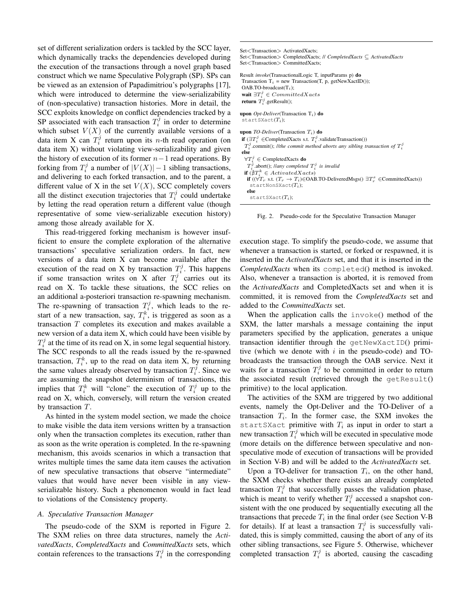set of different serialization orders is tackled by the SCC layer, which dynamically tracks the dependencies developed during the execution of the transactions through a novel graph based construct which we name Speculative Polygraph (SP). SPs can be viewed as an extension of Papadimitriou's polygraphs [17], which were introduced to determine the view-serializability of (non-speculative) transaction histories. More in detail, the SCC exploits knowledge on conflict dependencies tracked by a SP associated with each transaction  $T_i^{\hat{j}}$  in order to determine which subset  $V(X)$  of the currently available versions of a data item X can  $T_i^j$  return upon its *n*-th read operation (on data item X) without violating view-serializability and given the history of execution of its former  $n-1$  read operations. By forking from  $T_i^j$  a number of  $|V(X)| - 1$  sibling transactions, and delivering to each forked transaction, and to the parent, a different value of X in the set  $V(X)$ , SCC completely covers all the distinct execution trajectories that  $T_i^j$  could undertake by letting the read operation return a different value (though representative of some view-serializable execution history) among those already available for X.

This read-triggered forking mechanism is however insufficient to ensure the complete exploration of the alternative transactions' speculative serialization orders. In fact, new versions of a data item X can become available after the execution of the read on X by transaction  $T_i^j$ . This happens if some transaction writes on X after  $T_i^j$  carries out its read on X. To tackle these situations, the SCC relies on an additional a-posteriori transaction re-spawning mechanism. The re-spawning of transaction  $T_i^j$ , which leads to the restart of a new transaction, say,  $T_i^k$ , is triggered as soon as a transaction T completes its execution and makes available a new version of a data item X, which could have been visible by  $T_i^j$  at the time of its read on X, in some legal sequential history. The SCC responds to all the reads issued by the re-spawned transaction,  $T_i^k$ , up to the read on data item X, by returning the same values already observed by transaction  $T_i^{\tilde{j}}$ . Since we are assuming the snapshot determinism of transactions, this implies that  $T_i^k$  will "clone" the execution of  $T_i^j$  up to the read on X, which, conversely, will return the version created by transaction T.

As hinted in the system model section, we made the choice to make visible the data item versions written by a transaction only when the transaction completes its execution, rather than as soon as the write operation is completed. In the re-spawning mechanism, this avoids scenarios in which a transaction that writes multiple times the same data item causes the activation of new speculative transactions that observe "intermediate" values that would have never been visible in any viewserializable history. Such a phenomenon would in fact lead to violations of the Consistency property.

### *A. Speculative Transaction Manager*

The pseudo-code of the SXM is reported in Figure 2. The SXM relies on three data structures, namely the *ActivatedXacts*, *CompletedXacts* and *CommittedXacts* sets, which contain references to the transactions  $T_i^j$  in the corresponding



Fig. 2. Pseudo-code for the Speculative Transaction Manager

execution stage. To simplify the pseudo-code, we assume that whenever a transaction is started, or forked or respawned, it is inserted in the *ActivatedXacts* set, and that it is inserted in the *CompletedXacts* when its completed() method is invoked. Also, whenever a transaction is aborted, it is removed from the *ActivatedXacts* and CompletedXacts set and when it is committed, it is removed from the *CompletedXacts* set and added to the *CommittedXacts* set.

When the application calls the invoke() method of the SXM, the latter marshals a message containing the input parameters specified by the application, generates a unique transaction identifier through the getNewXactID() primitive (which we denote with  $i$  in the pseudo-code) and TObroadcasts the transaction through the OAB service. Next it waits for a transaction  $T_i^j$  to be committed in order to return the associated result (retrieved through the getResult() primitive) to the local application.

The activities of the SXM are triggered by two additional events, namely the Opt-Deliver and the TO-Deliver of a transaction  $T_i$ . In the former case, the SXM invokes the startSXact primitive with  $T_i$  as input in order to start a new transaction  $T_i^j$  which will be executed in speculative mode (more details on the difference between speculative and nonspeculative mode of execution of transactions will be provided in Section V-B) and will be added to the *ActivatedXacts* set.

Upon a TO-deliver for transaction  $T_i$ , on the other hand, the SXM checks whether there exists an already completed transaction  $T_i^j$  that successfully passes the validation phase, which is meant to verify whether  $T_i^j$  accessed a snapshot consistent with the one produced by sequentially executing all the transactions that precede  $T_i$  in the final order (see Section V-B for details). If at least a transaction  $T_i^j$  is successfully validated, this is simply committed, causing the abort of any of its other sibling transactions, see Figure 5. Otherwise, whichever completed transaction  $T_i^j$  is aborted, causing the cascading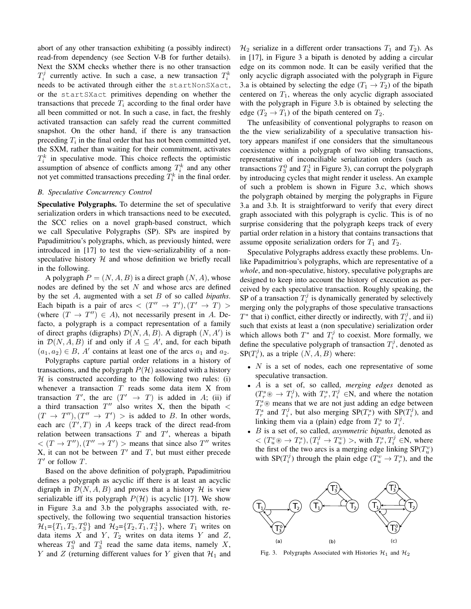abort of any other transaction exhibiting (a possibly indirect) read-from dependency (see Section V-B for further details). Next the SXM checks whether there is no other transaction  $T_i^j$  currently active. In such a case, a new transaction  $T_i^k$ needs to be activated through either the startNonSXact, or the startSXact primitives depending on whether the transactions that precede  $T_i$  according to the final order have all been committed or not. In such a case, in fact, the freshly activated transaction can safely read the current committed snapshot. On the other hand, if there is any transaction preceding  $T_i$  in the final order that has not been committed yet, the SXM, rather than waiting for their commitment, activates  $T_i^k$  in speculative mode. This choice reflects the optimistic assumption of absence of conflicts among  $T_i^k$  and any other not yet committed transactions preceding  $T_i^k$  in the final order.

## *B. Speculative Concurrency Control*

Speculative Polygraphs. To determine the set of speculative serialization orders in which transactions need to be executed, the SCC relies on a novel graph-based construct, which we call Speculative Polygraphs (SP). SPs are inspired by Papadimitriou's polygraphs, which, as previously hinted, were introduced in [17] to test the view-serializability of a nonspeculative history  $H$  and whose definition we briefly recall in the following.

A polygraph  $P = (N, A, B)$  is a direct graph  $(N, A)$ , whose nodes are defined by the set  $N$  and whose arcs are defined by the set A, augmented with a set B of so called *bipaths*. Each bipath is a pair of arcs  $\langle (T'' \rightarrow T') , (T' \rightarrow T) \rangle$ (where  $(T \to T'') \in A$ ), not necessarily present in A. Defacto, a polygraph is a compact representation of a family of direct graphs (digraphs)  $\mathcal{D}(N, A, B)$ . A digraph  $(N, A')$  is in  $\mathcal{D}(N, A, B)$  if and only if  $A \subseteq A'$ , and, for each bipath  $(a_1, a_2) \in B$ , A' contains at least one of the arcs  $a_1$  and  $a_2$ .

Polygraphs capture partial order relations in a history of transactions, and the polygraph  $P(\mathcal{H})$  associated with a history  $H$  is constructed according to the following two rules: (i) whenever a transaction  $T$  reads some data item  $X$  from transaction T', the arc  $(T' \rightarrow T)$  is added in A; (ii) if a third transaction  $T''$  also writes X, then the bipath  $\lt$  $(T \rightarrow T''), (T'' \rightarrow T')$  is added to B. In other words, each arc  $(T', T)$  in A keeps track of the direct read-from relation between transactions  $T$  and  $T'$ , whereas a bipath  $\langle (T \rightarrow T''), (T'' \rightarrow T') \rangle$  means that since also T'' writes X, it can not be between  $T'$  and  $T$ , but must either precede  $T'$  or follow T.

Based on the above definition of polygraph, Papadimitriou defines a polygraph as acyclic iff there is at least an acyclic digraph in  $\mathcal{D}(N, A, B)$  and proves that a history  $\mathcal H$  is view serializable iff its polygraph  $P(\mathcal{H})$  is acyclic [17]. We show in Figure 3.a and 3.b the polygraphs associated with, respectively, the following two sequential transaction histories  $\mathcal{H}_1 = \{T_1, T_2, T_3^0\}$  and  $\mathcal{H}_2 = \{T_2, T_1, T_3^1\}$ , where  $T_1$  writes on data items  $X$  and  $Y$ ,  $T_2$  writes on data items  $Y$  and  $Z$ , whereas  $T_3^0$  and  $T_3^1$  read the same data items, namely X, Y and Z (returning different values for Y given that  $\mathcal{H}_1$  and  $\mathcal{H}_2$  serialize in a different order transactions  $T_1$  and  $T_2$ ). As in [17], in Figure 3 a bipath is denoted by adding a circular edge on its common node. It can be easily verified that the only acyclic digraph associated with the polygraph in Figure 3.a is obtained by selecting the edge  $(T_1 \rightarrow T_2)$  of the bipath centered on  $T_1$ , whereas the only acyclic digraph associated with the polygraph in Figure 3.b is obtained by selecting the edge  $(T_2 \rightarrow T_1)$  of the bipath centered on  $T_2$ .

The unfeasibility of conventional polygraphs to reason on the the view serializability of a speculative transaction history appears manifest if one considers that the simultaneous coexistence within a polygraph of two sibling transactions, representative of inconciliable serialization orders (such as transactions  $T_3^0$  and  $T_3^1$  in Figure 3), can corrupt the polygraph by introducing cycles that might render it useless. An example of such a problem is shown in Figure 3.c, which shows the polygraph obtained by merging the polygraphs in Figure 3.a and 3.b. It is straightforward to verify that every direct graph associated with this polygraph is cyclic. This is of no surprise considering that the polygraph keeps track of every partial order relation in a history that contains transactions that assume opposite serialization orders for  $T_1$  and  $T_2$ .

Speculative Polygraphs address exactly these problems. Unlike Papadimitriou's polygraphs, which are representative of a *whole*, and non-speculative, history, speculative polygraphs are designed to keep into account the history of execution as perceived by each speculative transaction. Roughly speaking, the SP of a transaction  $T_i^j$  is dynamically generated by selectively merging only the polygraphs of those speculative transactions  $T^*$  that i) conflict, either directly or indirectly, with  $T_i^j$ , and ii) such that exists at least a (non speculative) serialization order which allows both  $T^*$  and  $T_i^j$  to coexist. More formally, we define the speculative polygraph of transaction  $T_i^j$ , denoted as  $SP(T_i^j)$ , as a triple  $(N, A, B)$  where:

- $N$  is a set of nodes, each one representative of some speculative transaction.
- A is a set of, so called, *merging edges* denoted as  $(T_r^s \otimes \rightarrow T_i^j)$ , with  $T_r^s, T_i^j \in \mathbb{N}$ , and where the notation  $T_r^s$  means that we are not just adding an edge between  $T_r^s$  and  $T_i^j$ , but also merging SP( $T_r^s$ ) with SP( $T_i^j$ ), and linking them via a (plain) edge from  $T_r^s$  to  $T_i^j$ .
- B is a set of, so called, *asymmetric bipaths*, denoted as  $\langle (T_u^v \otimes \rightarrow T_r^s), (T_i^j \rightarrow T_u^v) \rangle$ , with  $T_r^s, T_i^j \in N$ , where the first of the two arcs is a merging edge linking  $SP(T_u^v)$ with  $SP(T_i^j)$  through the plain edge  $(T_u^v \rightarrow T_r^s)$ , and the



Fig. 3. Polygraphs Associated with Histories  $\mathcal{H}_1$  and  $\mathcal{H}_2$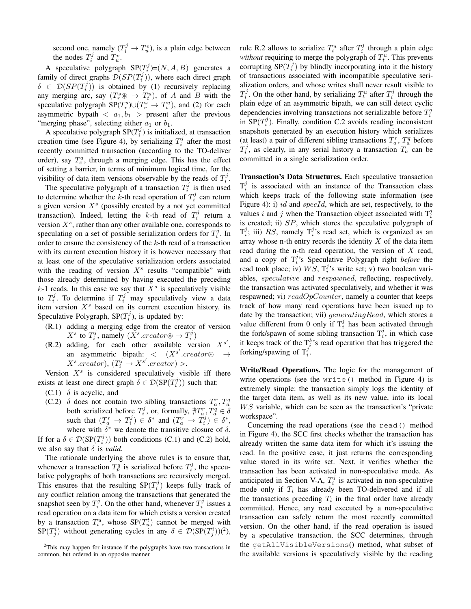second one, namely  $(T_i^j \rightarrow T_u^v)$ , is a plain edge between the nodes  $T_i^j$  and  $T_u^v$ .

A speculative polygraph  $SP(T_i^j) = (N, A, B)$  generates a family of direct graphs  $\mathcal{D}(SP(T_i^j))$ , where each direct graph  $\delta \in \mathcal{D}(SP(T_i^j))$  is obtained by (1) recursively replacing any merging arc, say  $(T_r^s \otimes \rightarrow T_t^u)$ , of A and B with the speculative polygraph  $SP(T_r^s) \cup (T_r^s \rightarrow T_t^u)$ , and (2) for each asymmetric bypath  $\langle a_1, b_1 \rangle$  present after the previous "merging phase", selecting either  $a_1$  or  $b_1$ .

A speculative polygraph  $SP(T_i^j)$  is initialized, at transaction creation time (see Figure 4), by serializing  $T_i^j$  after the most recently committed transaction (according to the TO-deliver order), say  $T_c^d$ , through a merging edge. This has the effect of setting a barrier, in terms of minimum logical time, for the visibility of data item versions observable by the reads of  $T_i^j$ .

The speculative polygraph of a transaction  $T_i^j$  is then used to determine whether the k-th read operation of  $T_i^j$  can return a given version  $X<sup>s</sup>$  (possibly created by a not yet committed transaction). Indeed, letting the k-th read of  $T_i^j$  return a version  $X^s$ , rather than any other available one, corresponds to speculating on a set of possible serialization orders for  $T_i^j$ . In order to ensure the consistency of the  $k$ -th read of a transaction with its current execution history it is however necessary that at least one of the speculative serialization orders associated with the reading of version  $X<sup>s</sup>$  results "compatible" with those already determined by having executed the preceding  $k-1$  reads. In this case we say that  $X<sup>s</sup>$  is speculatively visible to  $T_i^j$ . To determine if  $T_i^j$  may speculatively view a data item version  $X<sup>s</sup>$  based on its current execution history, its Speculative Polygraph,  $SP(T_i^j)$ , is updated by:

- (R.1) adding a merging edge from the creator of version  $X^s$  to  $T_i^j$ , namely  $(X^s.createator \otimes \rightarrow T_i^j)$
- $(R.2)$  adding, for each other available version  $X^{s'}$ , an asymmetric bipath:  $\langle X^{s'}.\text{createors} \rangle \rightarrow$  $X^s$ .creator),  $(T_i^j \rightarrow X^{s'}$ .creator) >.

Version  $X<sup>s</sup>$  is considered speculatively visible iff there exists at least one direct graph  $\delta \in \mathcal{D}(SP(T_i^j))$  such that:

- (C.1)  $\delta$  is acyclic, and
- (C.2)  $\delta$  does not contain two sibling transactions  $T_a^r, T_a^q$ both serialized before  $T_i^j$ , or, formally,  $\sharp T_a^r, T_a^{\overline{q}} \in \delta$ such that  $(T_a^r \rightarrow T_i^j) \in \delta^*$  and  $(T_a^r \rightarrow T_i^j) \in \delta^*$ , where with  $\delta^*$  we denote the transitive closure of  $\delta$ . If for a  $\delta \in \mathcal{D}(\text{SP}(T_i^j))$  both conditions (C.1) and (C.2) hold, we also say that  $\delta$  is *valid*.

The rationale underlying the above rules is to ensure that, whenever a transaction  $T_p^q$  is serialized before  $T_i^j$ , the speculative polygraphs of both transactions are recursively merged. This ensures that the resulting  $SP(T_i^j)$  keeps fully track of any conflict relation among the transactions that generated the snapshot seen by  $T_i^j$ . On the other hand, whenever  $T_i^j$  issues a read operation on a data item for which exists a version created by a transaction  $T_t^u$ , whose  $SP(T_u^t)$  cannot be merged with  $\text{SP}(T_j^i)$  without generating cycles in any  $\delta \in \mathcal{D}(\text{SP}(T_j^i))$ <sup>2</sup>),

rule R.2 allows to serialize  $T_t^u$  after  $T_i^j$  through a plain edge without requiring to merge the polygraph of  $T_t^u$ . This prevents corrupting  $SP(T_i^j)$  by blindly incorporating into it the history of transactions associated with incompatible speculative serialization orders, and whose writes shall never result visible to  $T_i^j$ . On the other hand, by serializing  $T_i^u$  after  $T_i^j$  through the plain edge of an asymmetric bipath, we can still detect cyclic dependencies involving transactions not serializable before  $T_i^j$ in  $\text{SP}(T_i^j)$ . Finally, condition C.2 avoids reading inconsistent snapshots generated by an execution history which serializes (at least) a pair of different sibling transactions  $T_a^r$ ,  $T_a^q$  before  $T_i^j$ , as clearly, in any serial history a transaction  $T_a$  can be committed in a single serialization order.

Transaction's Data Structures. Each speculative transaction  $T_i^j$  is associated with an instance of the Transaction class which keeps track of the following state information (see Figure 4): i) id and specId, which are set, respectively, to the values i and j when the Transaction object associated with  $T_i^j$ is created; ii) SP, which stores the speculative polygraph of  $T_i^j$ ; iii) RS, namely  $T_i^j$ 's read set, which is organized as an array whose n-th entry records the identity  $X$  of the data item read during the n-th read operation, the version of  $X$  read, and a copy of  $T_i^j$ 's Speculative Polygraph right *before* the read took place; iv)  $WS$ ,  $T_i^j$ 's write set; v) two boolean variables, speculative and respawned, reflecting, respectively, the transaction was activated speculatively, and whether it was respawned; vi)  $readOpCounter$ , namely a counter that keeps track of how many read operations have been issued up to date by the transaction; vii) generating Read, which stores a value different from 0 only if  $T_i^j$  has been activated through the fork/spawn of some sibling transaction  $T_i^j$ , in which case it keeps track of the  $T_i^k$ 's read operation that has triggered the forking/spawing of  $T_i^j$ .

Write/Read Operations. The logic for the management of write operations (see the write() method in Figure 4) is extremely simple: the transaction simply logs the identity of the target data item, as well as its new value, into its local  $WS$  variable, which can be seen as the transaction's "private" workspace".

Concerning the read operations (see the read() method in Figure 4), the SCC first checks whether the transaction has already written the same data item for which it's issuing the read. In the positive case, it just returns the corresponding value stored in its write set. Next, it verifies whether the transaction has been activated in non-speculative mode. As anticipated in Section V-A,  $T_i^j$  is activated in non-speculative mode only if  $T_i$  has already been TO-delivered and if all the transactions preceding  $T_i$  in the final order have already committed. Hence, any read executed by a non-speculative transaction can safely return the most recently committed version. On the other hand, if the read operation is issued by a speculative transaction, the SCC determines, through the getAllVisibleVersions() method, what subset of the available versions is speculatively visible by the reading

<sup>&</sup>lt;sup>2</sup>This may happen for instance if the polygraphs have two transactions in common, but ordered in an opposite manner.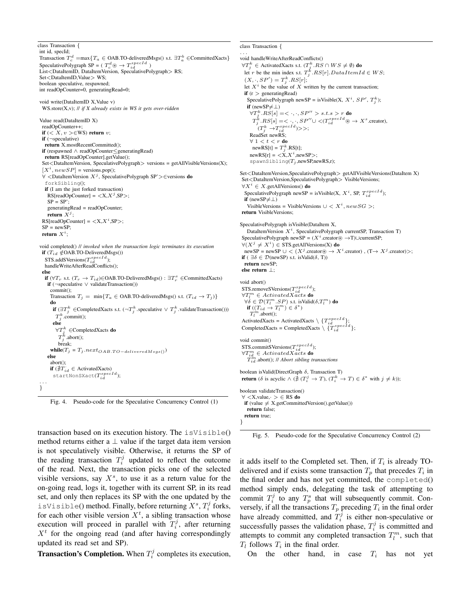class Transaction { int id, specId; Transaction  $T_c^d = \max\{T_a \in \text{OAB.TO-deliveredMsgs}(\text{)} \text{ s.t. } \exists T_a^b \in \text{CommittedXacts}\}$ SpeculativePolygraph SP = ( $T_c^d$ )  $\rightarrow$   $T_{id}^{specId}$ )<br>List < DataItemID, DataItemVersion, SpeculativePolygraph > RS; Set<DataItemID,Value> WS; boolean speculative, respawned; int readOpCounter=0, generatingRead=0; void write(DataItemID X,Value v) WS.store(X,v); // *if X already exists in WS it gets over-ridden* Value read(DataItemID X) readOpCounter++; if  $(< X, v> \in$ WS) return v; if  $(\neg$ speculative) return X.mostRecentCommitted(); if (respawned ∧ readOpCounter≤generatingRead) return RS[readOpCounter].getValue(); Set<DataItemVersion, SpeculativePolygraph> versions = getAllVisibleVersions(X);  $[X^i, newSP]$  = versions.pop();  $\forall$  <DataItemVersion  $X^j$ , SpeculativePolygraph SP'>∈versions do forkSibling(); if (I am the just forked transaction)  $RS[readOpCounter] = \langle X, X^j, SP \rangle;$  $SP = SP'$ generatingRead = readOpCounter; return  $X^j$ ;  $RS[readOpCounter] = \langle X, X^i, SP \rangle;$  $SP = newSP$ ; return  $X^i$ ; void completed() // *invoked when the transaction logic terminates its execution* if  $(T_{id} \notin$ OAB.TO-DeliveredMsgs()) STS.addSVersions( $T_{id}^{specId}$ );<br>handleWriteAfterReadConflicts(); else **if**  $(\forall T_r \text{ s.t. } (T_r \rightarrow T_{id}) \in \text{OAB.TO-DeliveredMsgs()}: \exists T_r^s \in \text{CommittedXacts})$ if (¬speculative ∨ validateTransaction()) commit(); Transaction  $T_j = \min\{T_a \in \text{OAB.TO-deliveredMsgs}(\text{ s.t. } (T_{id} \rightarrow T_j))\}$ do **if** ( $\exists T_j^k$  ∈CompletedXacts s.t. ( $\neg T_j^k$ .speculative  $\vee T_j^k$ .validateTransaction()))  $T_j^k$ .commit(); else  $∀T_j^k ∈ CompletedXacts$  do  $T_j^k$ .abort(); break;  $\textbf{while}(T_j = T_j.next_{OAB.TO-deliveredMsgs())}$ else abort(); **if**  $(\nexists \tilde{T}_{id} \in \text{ActualXacts})$  $\text{startNonSXact}(T_{id}^{special});$ . . . }

Fig. 4. Pseudo-code for the Speculative Concurrency Control (1)

transaction based on its execution history. The isVisible() method returns either a  $\perp$  value if the target data item version is not speculatively visible. Otherwise, it returns the SP of the reading transaction  $T_i^j$  updated to reflect the outcome of the read. Next, the transaction picks one of the selected visible versions, say  $X^s$ , to use it as a return value for the on-going read, logs it, together with its current SP, in its read set, and only then replaces its SP with the one updated by the isVisible() method. Finally, before returning  $X^s$ ,  $T_i^j$  forks, for each other visible version  $X<sup>t</sup>$ , a sibling transaction whose execution will proceed in parallel with  $T_i^j$ , after returning  $X<sup>t</sup>$  for the ongoing read (and after having correspondingly updated its read set and SP).

**Transaction's Completion.** When  $T_i^j$  completes its execution,

#### class Transaction {

```
. . .
void handleWriteAfterReadConflicts()
 ∀T_j^k ∈ ActivatedXacts s.t. (T_j^k.RS ∩ WS \neq \emptyset) do
   let r be the min index s.t. T_j^k.RS[r].DataItemId \in WS;(X, \cdot, SP') = T_j^k.RS[r];let X^i be the value of X written by the current transaction;
  if (r > generating Read)
    SpeculativePolygraph newSP = isVisible(X, X^i, SP', T^k_j);
    if (newSP \neq \perp)\forall T^k_i.RS[s]=<\cdot,\cdot, SP''>s.t.s>r do
       T_j^k \cdot RS[s] = \langle \cdot, \cdot, \cdot, S^T \rangle \geq s.t. s > r as \langle T_{ij}^{specId} \otimes \to X^s.creator),
          (T_j^k \rightarrow T_{id}^{special}) \geqslant ;ReadSet newRS;
     \forall 1 < t < rdo
       newRS[t] = T_j^k.RS[t];newRS[r] = \langle X, X^i, newSP \rangle;spanSibling(T_j, newSP, newRS,r);Set<DataItemVersion,SpeculativePolygraph> getAllVisibleVersions(DataItem X)
 Set<DataItemVersion,SpeculativePolygraph> VisibleVersions;
 \forall X^i \in X.getAllVersions() do
   SpeculativePolygraph newSP = isVisible(X, X^i, SP, T^{special}_{id});
  if (newSP#⊥)VisibleVersions = VisibleVersions \cup < X^i, newSG >;return VisibleVersions;
SpeculativePolygraph isVisible(DataItem X,
    DataItemVersion X^i, SpeculativePolygraph currentSP, Transaction T)
 SpeculativePolygraph newSP = (X^i.creator\circledast \to T)∪currentSP;
 \forall (X^j \neq X^i) \in STS.\text{getAllVersions}(X) do
   newSP = newSP \cup < (X^j creator\circledast \to X^i creator), (T \to X^j creator)>;
 if ( \exists \delta \in \mathcal{D}(newSP) s.t. isValid(\delta, T))
  return newSP;
 else return ⊥;
void abort()
 STS.removeSVersions(T_{id}^{specId});
 \forall T_l^m \in \mathit{ActualX}^\mathit{in} do
   \forall \dot{\delta} \in \mathcal{D}(T_l^m . SP) s.t. isValid(\delta, T_l^m) do
    if ((T_{id} \to T_l^m) \in \delta^*)\hat{T}_l^m.abort();
 ActivatedXacts = ActivatedXacts \ \{T_{id}^{special}\};CompletedXacts = CompletedXacts \ \{T_{id}^{speedd}\};void commit()
 STS.commitSVersions(T_{id}^{speedd});
 \forall T_{id}^m \in്, \emph{ActualX acts} \ \mathbf{do} \ T_{id}^m, abort(); // Abort sibling transactions
boolean isValid(DirectGraph \delta, Transaction T)
 return (\delta is acyclic \wedge (\sharp (T_i^j \to T), (T_i^k \to T) \in \delta^* with j \neq k));
boolean validateTransaction()
 ∀ <X,value,· > ∈ RS do
  if (value \neq X.getCommittedVersion().getValue())
   return false;
  return true;
}
```
Fig. 5. Pseudo-code for the Speculative Concurrency Control (2)

it adds itself to the Completed set. Then, if  $T_i$  is already TOdelivered and if exists some transaction  $T_p$  that precedes  $T_i$  in the final order and has not yet committed, the completed() method simply ends, delegating the task of attempting to commit  $T_i^j$  to any  $T_p^s$  that will subsequently commit. Conversely, if all the transactions  $T_p$  preceding  $T_i$  in the final order have already committed, and  $T_i^{\bar{j}}$  is either non-speculative or successfully passes the validation phase,  $T_i^j$  is committed and attempts to commit any completed transaction  $T_l^m$ , such that  $T_l$  follows  $T_i$  in the final order.

On the other hand, in case  $T_i$  has not yet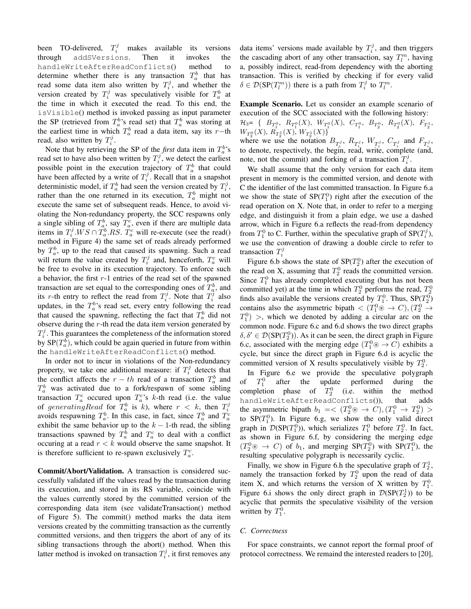been TO-delivered,  $T_i^j$  makes available its versions through addSVersions. Then it invokes the handleWriteAfterReadConflicts() method to determine whether there is any transaction  $T_a^b$  that has read some data item also written by  $T_i^j$ , and whether the version created by  $T_i^j$  was speculatively visible for  $T_a^b$  at the time in which it executed the read. To this end, the isVisible() method is invoked passing as input parameter the SP (retrieved from  $T_a^b$ 's read set) that  $T_a^b$  was storing at the earliest time in which  $T_a^b$  read a data item, say its r-th read, also written by  $T_i^j$ .

Note that by retrieving the SP of the *first* data item in  $T_a^b$ 's read set to have also been written by  $T_i^j$ , we detect the earliest possible point in the execution trajectory of  $T_a^b$  that could have been affected by a write of  $T_i^j$ . Recall that in a snapshot deterministic model, if  $T_a^b$  had seen the version created by  $T_i^j$ , rather than the one returned in its execution,  $T_a^b$  might not execute the same set of subsequent reads. Hence, to avoid violating the Non-redundancy property, the SCC respawns only a single sibling of  $T_a^b$ , say  $T_a^c$ , even if there are multiple data items in  $T_i^j$ .  $\overline{W}S \cap \overline{T}_a^b$ .  $\overline{RS}$ .  $\overline{T}_a^c$  will re-execute (see the read() method in Figure 4) the same set of reads already performed by  $T_a^b$ , up to the read that caused its spawning. Such a read will return the value created by  $T_i^j$  and, henceforth,  $T_a^c$  will be free to evolve in its execution trajectory. To enforce such a behavior, the first  $r-1$  entries of the read set of the spawned transaction are set equal to the corresponding ones of  $T_a^b$ , and its r-th entry to reflect the read from  $T_i^j$ . Note that  $T_i^{\tilde{j}}$  also updates, in the  $T_a^b$ 's read set, every entry following the read that caused the spawning, reflecting the fact that  $T_a^b$  did not observe during the  $r$ -th read the data item version generated by  $T_i^j$ . This guarantees the completeness of the information stored by  $SP(T_a^b)$ , which could be again queried in future from within the handleWriteAfterReadConflicts() method.

In order not to incur in violations of the Non-redundancy property, we take one additional measure: if  $T_i^j$  detects that the conflict affects the  $r - th$  read of a transaction  $T_a^b$  and  $T_a^b$  was activated due to a fork/respawn of some sibling transaction  $T_a^c$  occured upon  $T_a^c$ 's k-th read (i.e. the value of generating Read for  $T_a^b$  is k), where  $r < k$ , then  $T_i^j$ avoids respawning  $T_a^b$ . In this case, in fact, since  $T_a^b$  and  $T_a^c$ exhibit the same behavior up to the  $k - 1$ -th read, the sibling transactions spawned by  $T_a^b$  and  $T_a^c$  to deal with a conflict occuring at a read  $r < k$  would observe the same snapshot. It is therefore sufficient to re-spawn exclusively  $T_a^c$ .

Commit/Abort/Validation. A transaction is considered successfully validated iff the values read by the transaction during its execution, and stored in its RS variable, coincide with the values currently stored by the committed version of the corresponding data item (see validateTransaction() method of Figure 5). The commit() method marks the data item versions created by the committing transaction as the currently committed versions, and then triggers the abort of any of its sibling transactions through the abort() method. When this latter method is invoked on transaction  $T_i^j$ , it first removes any

data items' versions made available by  $T_i^j$ , and then triggers the cascading abort of any other transaction, say  $T_l^m$ , having a, possibly indirect, read-from dependency with the aborting transaction. This is verified by checking if for every valid  $\delta \in \mathcal{D}(\text{SP}(T_l^m))$  there is a path from  $T_i^j$  to  $T_l^m$ .

Example Scenario. Let us consider an example scenario of execution of the SCC associated with the following history:  $\mathcal{H}_3 = \{ B_{T_1^0}, R_{T_1^0}(X), W_{T_1^0}(X), C_{T_1^0}, B_{T_2^0}, R_{T_2^0}(X), F_{T_2^1},$  $W_{T_2^0}(X), R_{T_2^1}(X), W_{T_2^1}(X)$ 

where we use the notation  $B_{T_i^j}$ ,  $R_{T_i^j}$ ,  $W_{T_i^j}$ ,  $C_{T_i^j}$  and  $F_{T_i^j}$ , to denote, respectively, the begin, read, write, complete (and, note, not the commit) and forking of a transaction  $T_i^j$ .

We shall assume that the only version for each data item present in memory is the committed version, and denote with C the identifier of the last committed transaction. In Figure 6.a we show the state of  $SP(T_1^0)$  right after the execution of the read operation on X. Note that, in order to refer to a merging edge, and distinguish it from a plain edge, we use a dashed arrow, which in Figure 6.a reflects the read-from dependency from  $T_1^0$  to C. Further, within the speculative graph of  $SP(T_i^j)$ , we use the convention of drawing a double circle to refer to transaction  $T_i^j$ 

Figure 6.b shows the state of  $SP(T_2^0)$  after the execution of the read on X, assuming that  $T_2^0$  reads the committed version. Since  $T_1^0$  has already completed executing (but has not been committed yet) at the time in which  $T_2^0$  performs the read,  $T_2^0$ finds also available the versions created by  $T_1^0$ . Thus,  $SP(T_2^0)$ contains also the asymmetric bipath  $\langle (T_1^0 \otimes \rightarrow C), (T_2^0 \rightarrow$  $T_1^0$  >, which we denoted by adding a circular arc on the common node. Figure 6.c and 6.d shows the two direct graphs  $\delta, \delta' \in \mathcal{D}(\text{SP}(T_2^0))$ . As it can be seen, the direct graph in Figure 6.c, associated with the merging edge  $(T_1^0 \otimes \rightarrow C)$  exhibits a cycle, but since the direct graph in Figure 6.d is acyclic the committed version of X results speculatively visible by  $T_2^0$ .

In Figure 6.e we provide the speculative polygraph of  $T_1^0$ after the update performed during the completion phase of  $T_2^0$  (i.e. within the method handleWriteAfterReadConflicts()), that adds the asymmetric bipath  $b_1 = \langle (T_2^0 \otimes \rightarrow C), (T_1^0 \rightarrow T_2^0) \rangle$ to  $SP(T_1^0)$ . In Figure 6.g, we show the only valid direct graph in  $\mathcal{D}(SP(T_1^0))$ , which serializes  $T_1^0$  before  $T_2^0$ . In fact, as shown in Figure 6.f, by considering the merging edge  $(T_2^0 \otimes \rightarrow C)$  of  $b_1$ , and merging SP( $T_2^0$ ) with SP( $T_1^0$ ), the resulting speculative polygraph is necessarily cyclic.

Finally, we show in Figure 6.h the speculative graph of  $T_2^1$ , namely the transaction forked by  $T_2^0$  upon the read of data item X, and which returns the version of X written by  $T_1^0$ . Figure 6.i shows the only direct graph in  $\mathcal{D}(SP(T_2^1))$  to be acyclic that permits the speculative visibility of the version written by  $T_1^0$ .

### *C. Correctness*

For space constraints, we cannot report the formal proof of protocol correctness. We remaind the interested readers to [20],